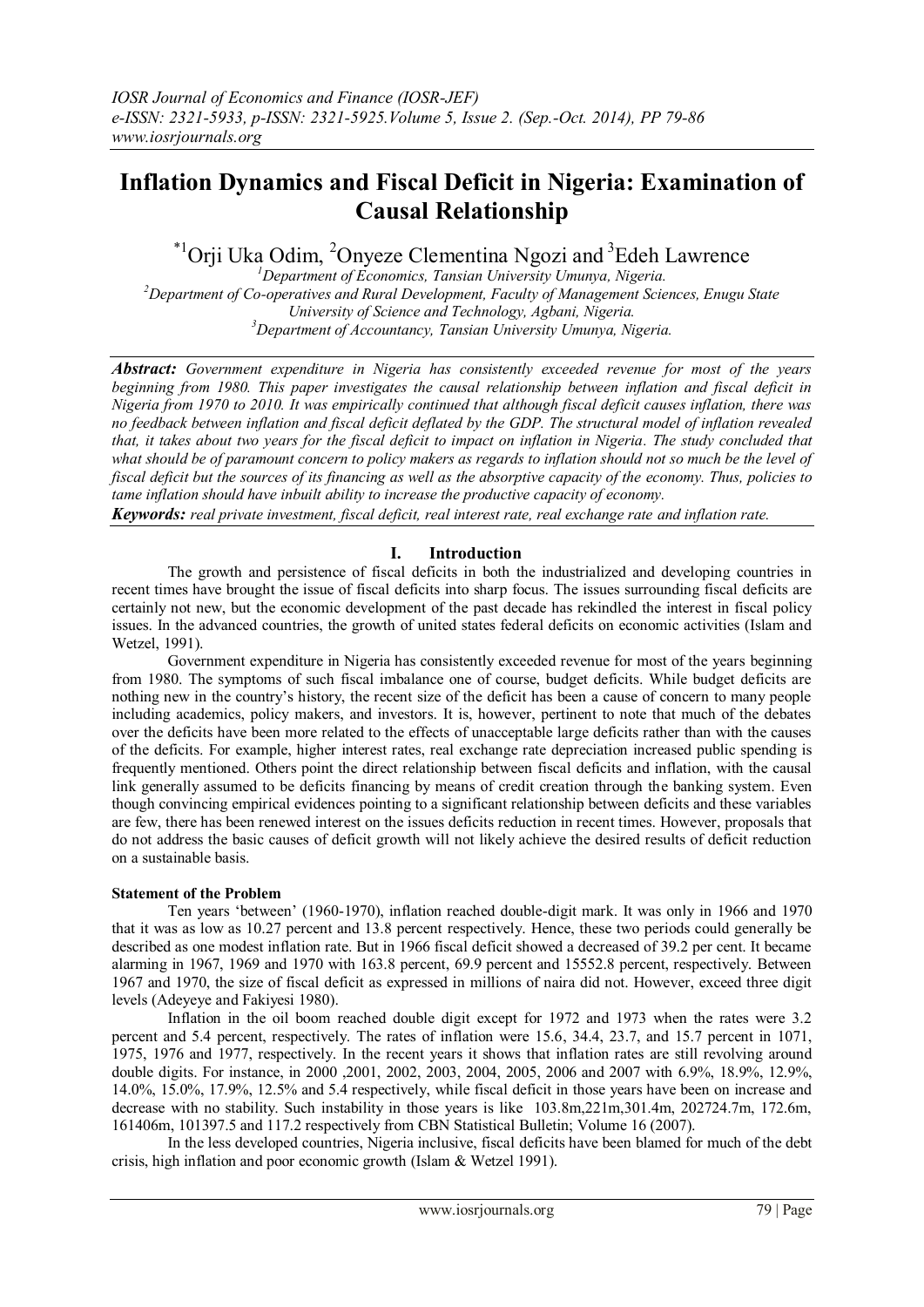# **Inflation Dynamics and Fiscal Deficit in Nigeria: Examination of Causal Relationship**

## $\mathrm{^{*1}O}$ rji Uka Odim,  $\mathrm{^{2}O}$ nyeze Clementina Ngozi and  $\mathrm{^{3}E}$ deh Lawrence

*Department of Economics, Tansian University Umunya, Nigeria. Department of Co-operatives and Rural Development, Faculty of Management Sciences, Enugu State University of Science and Technology, Agbani, Nigeria. Department of Accountancy, Tansian University Umunya, Nigeria.*

*Abstract: Government expenditure in Nigeria has consistently exceeded revenue for most of the years beginning from 1980. This paper investigates the causal relationship between inflation and fiscal deficit in Nigeria from 1970 to 2010. It was empirically continued that although fiscal deficit causes inflation, there was no feedback between inflation and fiscal deficit deflated by the GDP. The structural model of inflation revealed that, it takes about two years for the fiscal deficit to impact on inflation in Nigeria. The study concluded that what should be of paramount concern to policy makers as regards to inflation should not so much be the level of fiscal deficit but the sources of its financing as well as the absorptive capacity of the economy. Thus, policies to tame inflation should have inbuilt ability to increase the productive capacity of economy.* 

*Keywords: real private investment, fiscal deficit, real interest rate, real exchange rate and inflation rate.*

## **I. Introduction**

The growth and persistence of fiscal deficits in both the industrialized and developing countries in recent times have brought the issue of fiscal deficits into sharp focus. The issues surrounding fiscal deficits are certainly not new, but the economic development of the past decade has rekindled the interest in fiscal policy issues. In the advanced countries, the growth of united states federal deficits on economic activities (Islam and Wetzel, 1991).

Government expenditure in Nigeria has consistently exceeded revenue for most of the years beginning from 1980. The symptoms of such fiscal imbalance one of course, budget deficits. While budget deficits are nothing new in the country"s history, the recent size of the deficit has been a cause of concern to many people including academics, policy makers, and investors. It is, however, pertinent to note that much of the debates over the deficits have been more related to the effects of unacceptable large deficits rather than with the causes of the deficits. For example, higher interest rates, real exchange rate depreciation increased public spending is frequently mentioned. Others point the direct relationship between fiscal deficits and inflation, with the causal link generally assumed to be deficits financing by means of credit creation through the banking system. Even though convincing empirical evidences pointing to a significant relationship between deficits and these variables are few, there has been renewed interest on the issues deficits reduction in recent times. However, proposals that do not address the basic causes of deficit growth will not likely achieve the desired results of deficit reduction on a sustainable basis.

## **Statement of the Problem**

Ten years "between" (1960-1970), inflation reached double-digit mark. It was only in 1966 and 1970 that it was as low as 10.27 percent and 13.8 percent respectively. Hence, these two periods could generally be described as one modest inflation rate. But in 1966 fiscal deficit showed a decreased of 39.2 per cent. It became alarming in 1967, 1969 and 1970 with 163.8 percent, 69.9 percent and 15552.8 percent, respectively. Between 1967 and 1970, the size of fiscal deficit as expressed in millions of naira did not. However, exceed three digit levels (Adeyeye and Fakiyesi 1980).

Inflation in the oil boom reached double digit except for 1972 and 1973 when the rates were 3.2 percent and 5.4 percent, respectively. The rates of inflation were 15.6, 34.4, 23.7, and 15.7 percent in 1071, 1975, 1976 and 1977, respectively. In the recent years it shows that inflation rates are still revolving around double digits. For instance, in 2000 ,2001, 2002, 2003, 2004, 2005, 2006 and 2007 with 6.9%, 18.9%, 12.9%, 14.0%, 15.0%, 17.9%, 12.5% and 5.4 respectively, while fiscal deficit in those years have been on increase and decrease with no stability. Such instability in those years is like 103.8m,221m,301.4m, 202724.7m, 172.6m, 161406m, 101397.5 and 117.2 respectively from CBN Statistical Bulletin; Volume 16 (2007).

In the less developed countries, Nigeria inclusive, fiscal deficits have been blamed for much of the debt crisis, high inflation and poor economic growth (Islam & Wetzel 1991).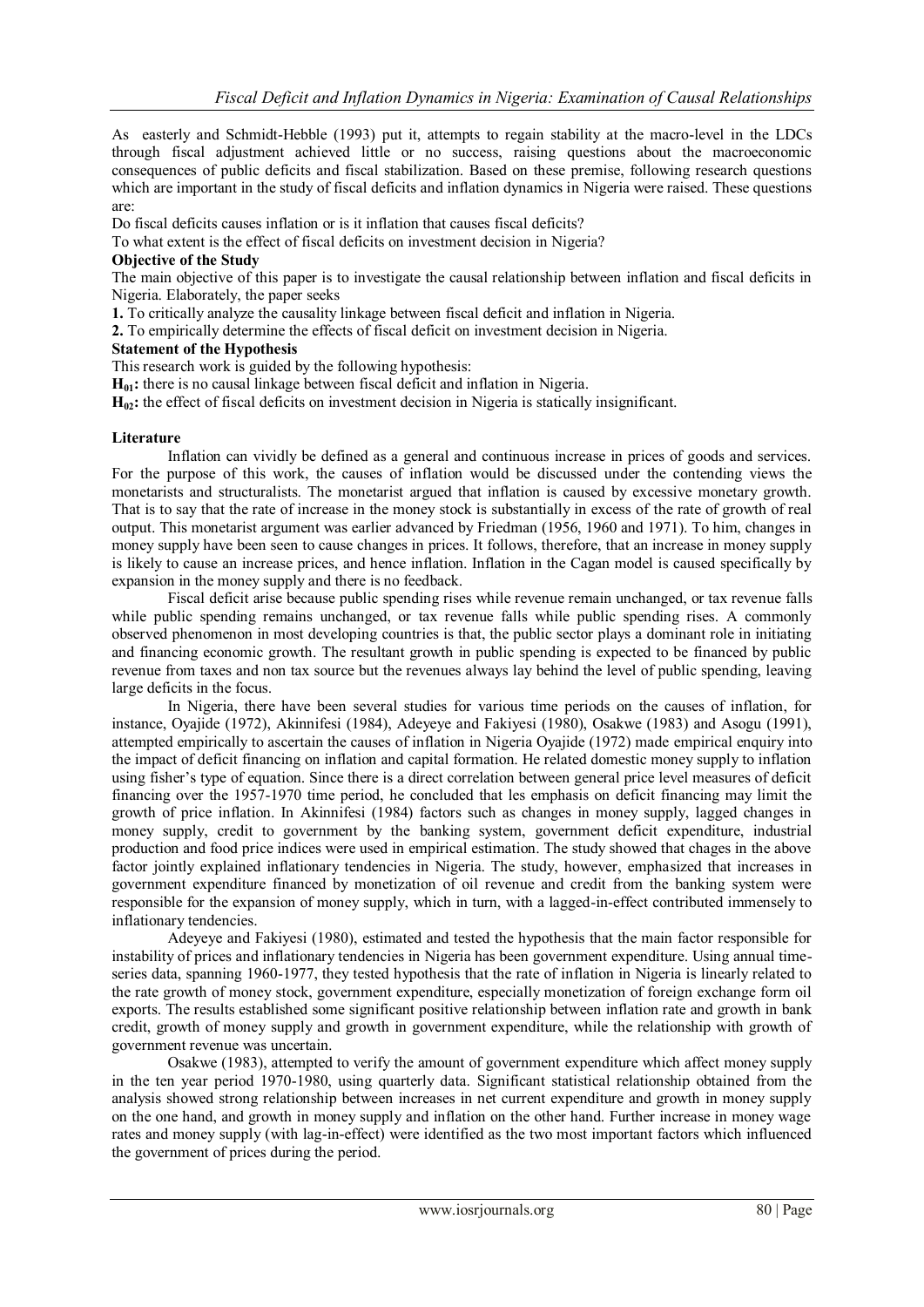As easterly and Schmidt-Hebble (1993) put it, attempts to regain stability at the macro-level in the LDCs through fiscal adjustment achieved little or no success, raising questions about the macroeconomic consequences of public deficits and fiscal stabilization. Based on these premise, following research questions which are important in the study of fiscal deficits and inflation dynamics in Nigeria were raised. These questions are:

Do fiscal deficits causes inflation or is it inflation that causes fiscal deficits?

To what extent is the effect of fiscal deficits on investment decision in Nigeria?

### **Objective of the Study**

The main objective of this paper is to investigate the causal relationship between inflation and fiscal deficits in Nigeria. Elaborately, the paper seeks

**1.** To critically analyze the causality linkage between fiscal deficit and inflation in Nigeria.

**2.** To empirically determine the effects of fiscal deficit on investment decision in Nigeria.

## **Statement of the Hypothesis**

This research work is guided by the following hypothesis:

**H01:** there is no causal linkage between fiscal deficit and inflation in Nigeria.

**H02:** the effect of fiscal deficits on investment decision in Nigeria is statically insignificant.

## **Literature**

Inflation can vividly be defined as a general and continuous increase in prices of goods and services. For the purpose of this work, the causes of inflation would be discussed under the contending views the monetarists and structuralists. The monetarist argued that inflation is caused by excessive monetary growth. That is to say that the rate of increase in the money stock is substantially in excess of the rate of growth of real output. This monetarist argument was earlier advanced by Friedman (1956, 1960 and 1971). To him, changes in money supply have been seen to cause changes in prices. It follows, therefore, that an increase in money supply is likely to cause an increase prices, and hence inflation. Inflation in the Cagan model is caused specifically by expansion in the money supply and there is no feedback.

Fiscal deficit arise because public spending rises while revenue remain unchanged, or tax revenue falls while public spending remains unchanged, or tax revenue falls while public spending rises. A commonly observed phenomenon in most developing countries is that, the public sector plays a dominant role in initiating and financing economic growth. The resultant growth in public spending is expected to be financed by public revenue from taxes and non tax source but the revenues always lay behind the level of public spending, leaving large deficits in the focus.

In Nigeria, there have been several studies for various time periods on the causes of inflation, for instance, Oyajide (1972), Akinnifesi (1984), Adeyeye and Fakiyesi (1980), Osakwe (1983) and Asogu (1991), attempted empirically to ascertain the causes of inflation in Nigeria Oyajide (1972) made empirical enquiry into the impact of deficit financing on inflation and capital formation. He related domestic money supply to inflation using fisher's type of equation. Since there is a direct correlation between general price level measures of deficit financing over the 1957-1970 time period, he concluded that les emphasis on deficit financing may limit the growth of price inflation. In Akinnifesi (1984) factors such as changes in money supply, lagged changes in money supply, credit to government by the banking system, government deficit expenditure, industrial production and food price indices were used in empirical estimation. The study showed that chages in the above factor jointly explained inflationary tendencies in Nigeria. The study, however, emphasized that increases in government expenditure financed by monetization of oil revenue and credit from the banking system were responsible for the expansion of money supply, which in turn, with a lagged-in-effect contributed immensely to inflationary tendencies.

Adeyeye and Fakiyesi (1980), estimated and tested the hypothesis that the main factor responsible for instability of prices and inflationary tendencies in Nigeria has been government expenditure. Using annual timeseries data, spanning 1960-1977, they tested hypothesis that the rate of inflation in Nigeria is linearly related to the rate growth of money stock, government expenditure, especially monetization of foreign exchange form oil exports. The results established some significant positive relationship between inflation rate and growth in bank credit, growth of money supply and growth in government expenditure, while the relationship with growth of government revenue was uncertain.

Osakwe (1983), attempted to verify the amount of government expenditure which affect money supply in the ten year period 1970-1980, using quarterly data. Significant statistical relationship obtained from the analysis showed strong relationship between increases in net current expenditure and growth in money supply on the one hand, and growth in money supply and inflation on the other hand. Further increase in money wage rates and money supply (with lag-in-effect) were identified as the two most important factors which influenced the government of prices during the period.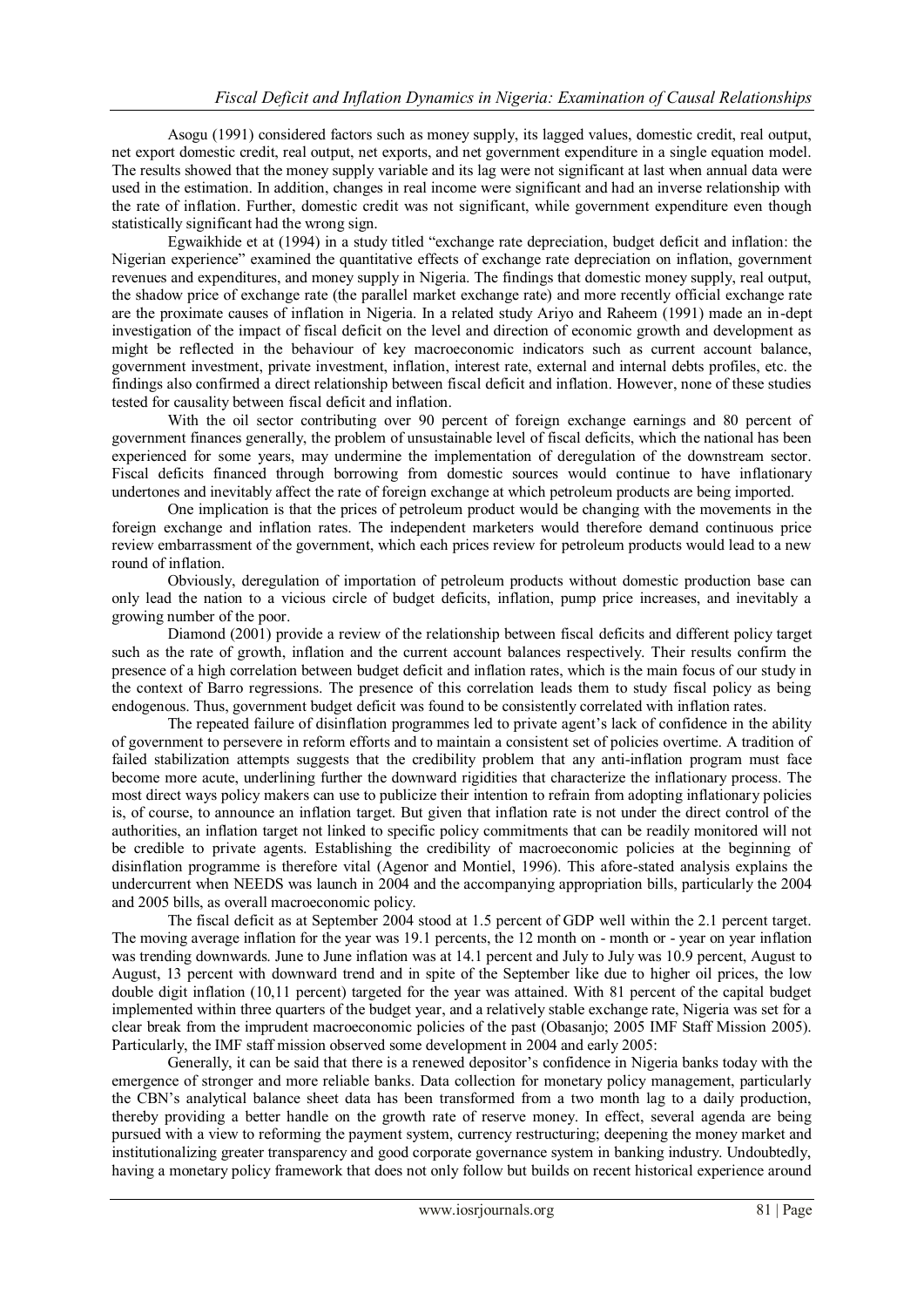Asogu (1991) considered factors such as money supply, its lagged values, domestic credit, real output, net export domestic credit, real output, net exports, and net government expenditure in a single equation model. The results showed that the money supply variable and its lag were not significant at last when annual data were used in the estimation. In addition, changes in real income were significant and had an inverse relationship with the rate of inflation. Further, domestic credit was not significant, while government expenditure even though statistically significant had the wrong sign.

Egwaikhide et at (1994) in a study titled "exchange rate depreciation, budget deficit and inflation: the Nigerian experience" examined the quantitative effects of exchange rate depreciation on inflation, government revenues and expenditures, and money supply in Nigeria. The findings that domestic money supply, real output, the shadow price of exchange rate (the parallel market exchange rate) and more recently official exchange rate are the proximate causes of inflation in Nigeria. In a related study Ariyo and Raheem (1991) made an in-dept investigation of the impact of fiscal deficit on the level and direction of economic growth and development as might be reflected in the behaviour of key macroeconomic indicators such as current account balance, government investment, private investment, inflation, interest rate, external and internal debts profiles, etc. the findings also confirmed a direct relationship between fiscal deficit and inflation. However, none of these studies tested for causality between fiscal deficit and inflation.

With the oil sector contributing over 90 percent of foreign exchange earnings and 80 percent of government finances generally, the problem of unsustainable level of fiscal deficits, which the national has been experienced for some years, may undermine the implementation of deregulation of the downstream sector. Fiscal deficits financed through borrowing from domestic sources would continue to have inflationary undertones and inevitably affect the rate of foreign exchange at which petroleum products are being imported.

One implication is that the prices of petroleum product would be changing with the movements in the foreign exchange and inflation rates. The independent marketers would therefore demand continuous price review embarrassment of the government, which each prices review for petroleum products would lead to a new round of inflation.

Obviously, deregulation of importation of petroleum products without domestic production base can only lead the nation to a vicious circle of budget deficits, inflation, pump price increases, and inevitably a growing number of the poor.

Diamond (2001) provide a review of the relationship between fiscal deficits and different policy target such as the rate of growth, inflation and the current account balances respectively. Their results confirm the presence of a high correlation between budget deficit and inflation rates, which is the main focus of our study in the context of Barro regressions. The presence of this correlation leads them to study fiscal policy as being endogenous. Thus, government budget deficit was found to be consistently correlated with inflation rates.

The repeated failure of disinflation programmes led to private agent"s lack of confidence in the ability of government to persevere in reform efforts and to maintain a consistent set of policies overtime. A tradition of failed stabilization attempts suggests that the credibility problem that any anti-inflation program must face become more acute, underlining further the downward rigidities that characterize the inflationary process. The most direct ways policy makers can use to publicize their intention to refrain from adopting inflationary policies is, of course, to announce an inflation target. But given that inflation rate is not under the direct control of the authorities, an inflation target not linked to specific policy commitments that can be readily monitored will not be credible to private agents. Establishing the credibility of macroeconomic policies at the beginning of disinflation programme is therefore vital (Agenor and Montiel, 1996). This afore-stated analysis explains the undercurrent when NEEDS was launch in 2004 and the accompanying appropriation bills, particularly the 2004 and 2005 bills, as overall macroeconomic policy.

The fiscal deficit as at September 2004 stood at 1.5 percent of GDP well within the 2.1 percent target. The moving average inflation for the year was 19.1 percents, the 12 month on - month or - year on year inflation was trending downwards. June to June inflation was at 14.1 percent and July to July was 10.9 percent, August to August, 13 percent with downward trend and in spite of the September like due to higher oil prices, the low double digit inflation (10,11 percent) targeted for the year was attained. With 81 percent of the capital budget implemented within three quarters of the budget year, and a relatively stable exchange rate, Nigeria was set for a clear break from the imprudent macroeconomic policies of the past (Obasanjo; 2005 IMF Staff Mission 2005). Particularly, the IMF staff mission observed some development in 2004 and early 2005:

Generally, it can be said that there is a renewed depositor"s confidence in Nigeria banks today with the emergence of stronger and more reliable banks. Data collection for monetary policy management, particularly the CBN"s analytical balance sheet data has been transformed from a two month lag to a daily production, thereby providing a better handle on the growth rate of reserve money. In effect, several agenda are being pursued with a view to reforming the payment system, currency restructuring; deepening the money market and institutionalizing greater transparency and good corporate governance system in banking industry. Undoubtedly, having a monetary policy framework that does not only follow but builds on recent historical experience around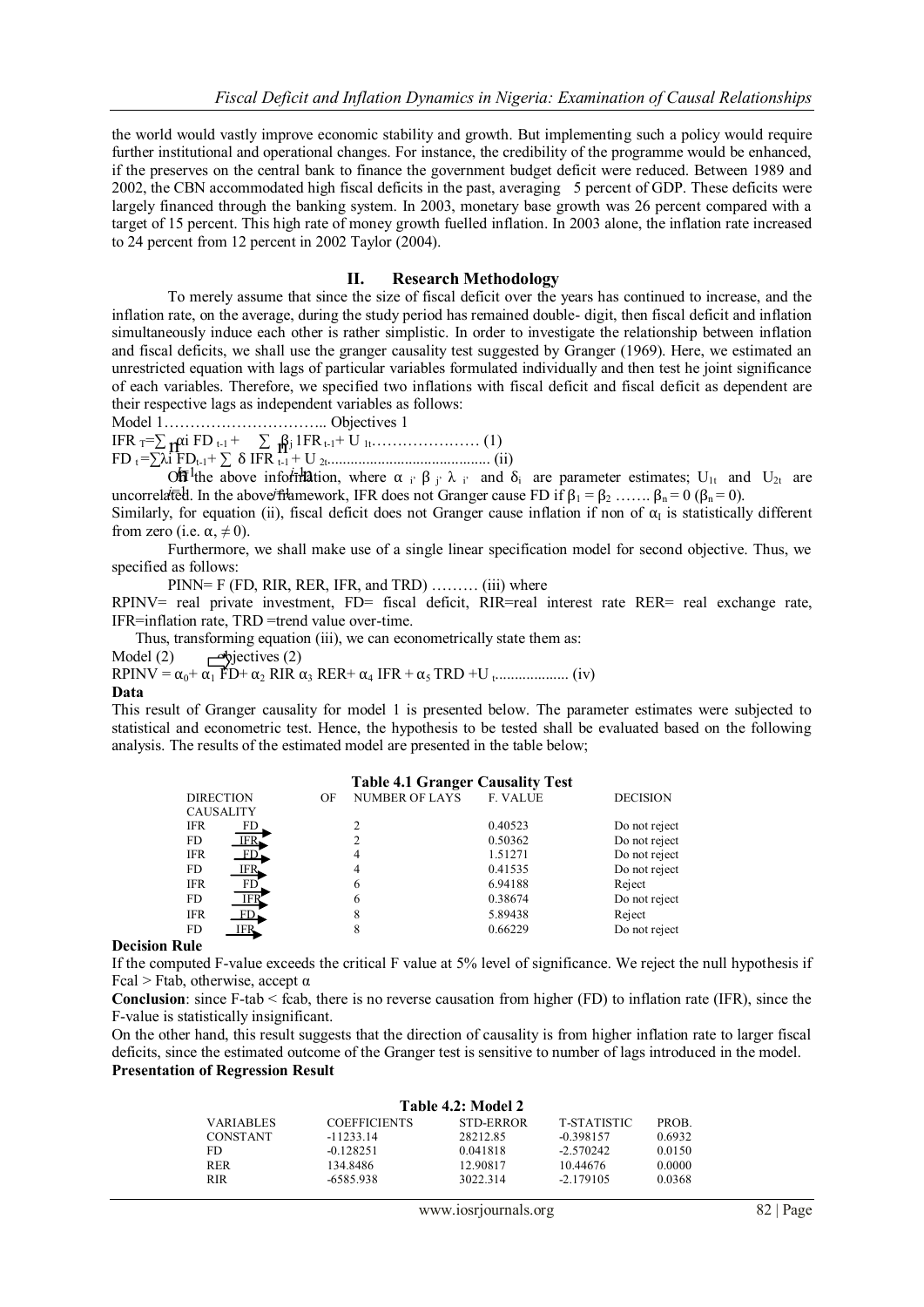the world would vastly improve economic stability and growth. But implementing such a policy would require further institutional and operational changes. For instance, the credibility of the programme would be enhanced, if the preserves on the central bank to finance the government budget deficit were reduced. Between 1989 and 2002, the CBN accommodated high fiscal deficits in the past, averaging 5 percent of GDP. These deficits were largely financed through the banking system. In 2003, monetary base growth was 26 percent compared with a target of 15 percent. This high rate of money growth fuelled inflation. In 2003 alone, the inflation rate increased to 24 percent from 12 percent in 2002 Taylor (2004).

#### **II. Research Methodology**

To merely assume that since the size of fiscal deficit over the years has continued to increase, and the inflation rate, on the average, during the study period has remained double- digit, then fiscal deficit and inflation simultaneously induce each other is rather simplistic. In order to investigate the relationship between inflation and fiscal deficits, we shall use the granger causality test suggested by Granger (1969). Here, we estimated an unrestricted equation with lags of particular variables formulated individually and then test he joint significance of each variables. Therefore, we specified two inflations with fiscal deficit and fiscal deficit as dependent are their respective lags as independent variables as follows:

Model 1………………………….. Objectives 1

IFR T=∑ αi FD t-1 + ∑ βj 1FRt-1+ U 1t………………… (1) FD t =∑λi FDt-1+ ∑ δ IFR t-1 + U 2t.......................................... (ii) n n

 $\overrightarrow{OP}$ <sup>1</sup> the above information, where α<sub>i'</sub> β<sub>j'</sub> λ<sub>i</sub>' and δ<sub>i</sub> are parameter estimates; U<sub>1t</sub> and U<sub>2t</sub> are uncorrelated. In the above framework, IFR does not Granger cause FD if  $β_1 = β_2$  ......  $β_n = 0$  ( $β_n = 0$ ).

Similarly, for equation (ii), fiscal deficit does not Granger cause inflation if non of  $\alpha_I$  is statistically different from zero (i.e.  $\alpha$ ,  $\neq$  0).

Furthermore, we shall make use of a single linear specification model for second objective. Thus, we specified as follows:

PINN= F (FD, RIR, RER, IFR, and TRD) ……… (iii) where

RPINV= real private investment, FD= fiscal deficit, RIR=real interest rate RER= real exchange rate, IFR=inflation rate, TRD =trend value over-time.

Thus, transforming equation (iii), we can econometrically state them as:

Model (2)  $\rightarrow$  bjectives (2)

RPINV = α0+ α<sup>1</sup> FD+ α<sup>2</sup> RIR α<sup>3</sup> RER+ α<sup>4</sup> IFR + α5 TRD +U <sup>t</sup> ................... (iv)

#### **Data**

This result of Granger causality for model 1 is presented below. The parameter estimates were subjected to statistical and econometric test. Hence, the hypothesis to be tested shall be evaluated based on the following analysis. The results of the estimated model are presented in the table below;

#### **Table 4.1 Granger Causality Test**

|            | <b>DIRECTION</b> | OF | <b>NUMBER OF LAYS</b> | F. VALUE | <b>DECISION</b> |
|------------|------------------|----|-----------------------|----------|-----------------|
|            | <b>CAUSALITY</b> |    |                       |          |                 |
| <b>IFR</b> | FD               |    |                       | 0.40523  | Do not reject   |
| FD.        | IFR.             |    |                       | 0.50362  | Do not reject   |
| <b>IFR</b> | FD               |    |                       | 1.51271  | Do not reject   |
| FD.        | IFR.             |    | 4                     | 0.41535  | Do not reject   |
| <b>IFR</b> | FD <sup>-</sup>  |    | 6                     | 6.94188  | Reject          |
| FD         | <b>IFR</b>       |    | 6                     | 0.38674  | Do not reject   |
| <b>IFR</b> | FD               |    |                       | 5.89438  | Reject          |
| FD         | IFR.             |    |                       | 0.66229  | Do not reject   |
| . .        |                  |    |                       |          |                 |

#### **Decision Rule**

If the computed F-value exceeds the critical F value at 5% level of significance. We reject the null hypothesis if Fcal > Ftab, otherwise, accept  $\alpha$ 

**Conclusion**: since F-tab < fcab, there is no reverse causation from higher (FD) to inflation rate (IFR), since the F-value is statistically insignificant.

On the other hand, this result suggests that the direction of causality is from higher inflation rate to larger fiscal deficits, since the estimated outcome of the Granger test is sensitive to number of lags introduced in the model. **Presentation of Regression Result**

| Table 4.2: Model 2 |                     |           |             |        |
|--------------------|---------------------|-----------|-------------|--------|
| <b>VARIABLES</b>   | <b>COEFFICIENTS</b> | STD-ERROR | T-STATISTIC | PROB.  |
| CONSTANT           | $-11233.14$         | 28212.85  | $-0.398157$ | 0.6932 |
| FD                 | $-0.128251$         | 0.041818  | $-2.570242$ | 0.0150 |
| RER                | 134.8486            | 12.90817  | 10.44676    | 0.0000 |
| <b>RIR</b>         | -6585.938           | 3022.314  | $-2.179105$ | 0.0368 |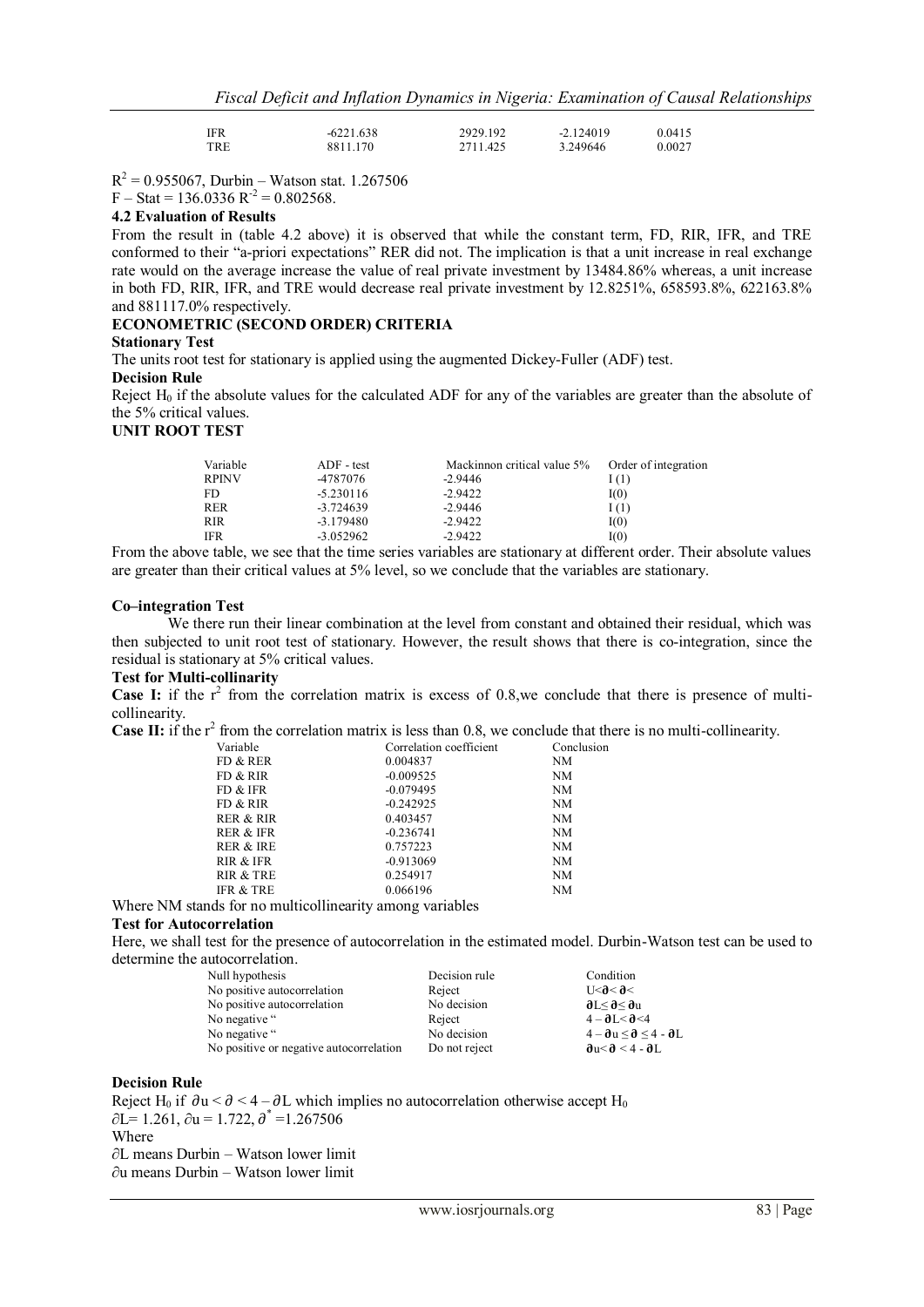| IFR | $-6221.638$ | 2929.192 | $-2.124019$ | 0.0415 |
|-----|-------------|----------|-------------|--------|
| TRE | 8811.170    | 2711.425 | 3.249646    | 0.0027 |

 $R^2 = 0.955067$ , Durbin – Watson stat. 1.267506

 $F - Stat = 136.0336 R^{-2} = 0.802568.$ 

## **4.2 Evaluation of Results**

From the result in (table 4.2 above) it is observed that while the constant term, FD, RIR, IFR, and TRE conformed to their "a-priori expectations" RER did not. The implication is that a unit increase in real exchange rate would on the average increase the value of real private investment by 13484.86% whereas, a unit increase in both FD, RIR, IFR, and TRE would decrease real private investment by 12.8251%, 658593.8%, 622163.8% and 881117.0% respectively.

## **ECONOMETRIC (SECOND ORDER) CRITERIA**

## **Stationary Test**

The units root test for stationary is applied using the augmented Dickey-Fuller (ADF) test.

#### **Decision Rule**

Reject  $H_0$  if the absolute values for the calculated ADF for any of the variables are greater than the absolute of the 5% critical values.

#### **UNIT ROOT TEST**

| Variable     | $ADF - test$ | Mackinnon critical value 5% Order of integration |       |
|--------------|--------------|--------------------------------------------------|-------|
| <b>RPINV</b> | -4787076     | $-2.9446$                                        | (1)   |
| FD.          | $-5.230116$  | $-2.9422$                                        | I(0)  |
| <b>RER</b>   | $-3.724639$  | $-2.9446$                                        | [ (1) |
| <b>RIR</b>   | $-3.179480$  | $-2.9422$                                        | I(0)  |
| <b>IFR</b>   | $-3.052962$  | $-2.9422$                                        | I(0)  |

From the above table, we see that the time series variables are stationary at different order. Their absolute values are greater than their critical values at 5% level, so we conclude that the variables are stationary.

#### **Co–integration Test**

We there run their linear combination at the level from constant and obtained their residual, which was then subjected to unit root test of stationary. However, the result shows that there is co-integration, since the residual is stationary at 5% critical values.

#### **Test for Multi-collinarity**

**Case I:** if the  $r^2$  from the correlation matrix is excess of 0.8,we conclude that there is presence of multicollinearity.

**Case II:** if the  $r^2$  from the correlation matrix is less than 0.8, we conclude that there is no multi-collinearity.

| Variable  | Correlation coefficient | Conclusion |
|-----------|-------------------------|------------|
| FD & RER  | 0.004837                | NM         |
| FD & RIR  | $-0.009525$             | NM         |
| FD & IFR  | $-0.079495$             | NM         |
| FD & RIR  | $-0.242925$             | NM         |
| rer & rir | 0.403457                | NM         |
| RER & IFR | $-0.236741$             | NM         |
| RER & IRE | 0.757223                | NM         |
| RIR & IFR | $-0.913069$             | NM         |
| RIR & TRE | 0.254917                | NM         |
| IFR & TRE | 0.066196                | NM         |
|           |                         |            |

Where NM stands for no multicollinearity among variables

## **Test for Autocorrelation**

Here, we shall test for the presence of autocorrelation in the estimated model. Durbin-Watson test can be used to determine the autocorrelation.

| Null hypothesis                         | Decision rule | Condition                                        |
|-----------------------------------------|---------------|--------------------------------------------------|
| No positive autocorrelation             | Reject        | 56 > 6                                           |
| No positive autocorrelation             | No decision   | $\partial L < \partial < \partial u$             |
| No negative "                           | Reject        | $4 - \partial I < \partial < 4$                  |
| No negative "                           | No decision   | $4 - \partial u \le \partial \le 4 - \partial L$ |
| No positive or negative autocorrelation | Do not reject | $\partial u < \partial < 4 - \partial L$         |

#### **Decision Rule**

Reject H<sub>0</sub> if  $\partial u < \partial < 4 - \partial L$  which implies no autocorrelation otherwise accept H<sub>0</sub>  $\partial L = 1.261$ ,  $\partial u = 1.722$ ,  $\partial^* = 1.267506$ Where ∂L means Durbin – Watson lower limit ∂u means Durbin – Watson lower limit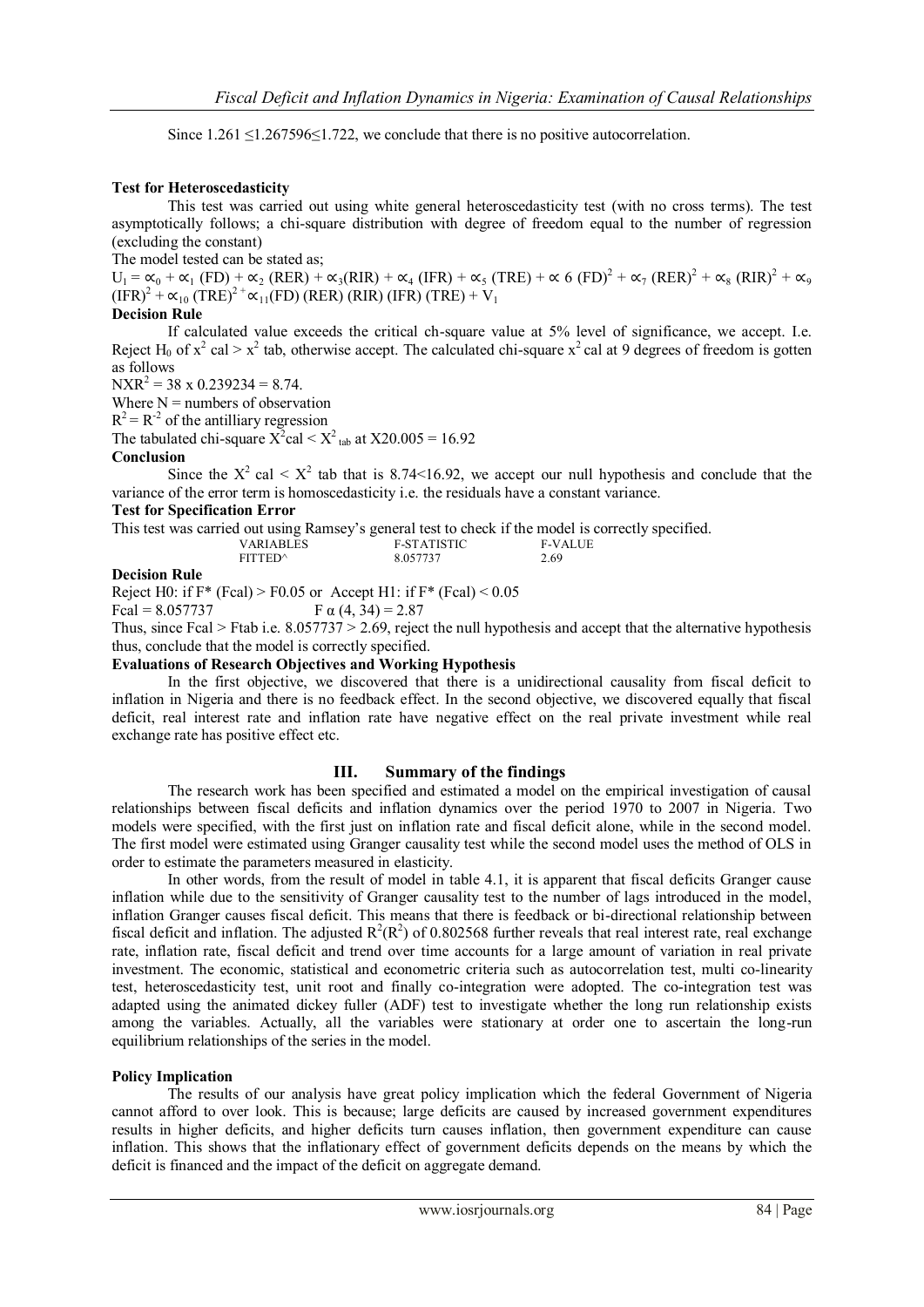Since 1.261 ≤1.267596≤1.722, we conclude that there is no positive autocorrelation.

## **Test for Heteroscedasticity**

This test was carried out using white general heteroscedasticity test (with no cross terms). The test asymptotically follows; a chi-square distribution with degree of freedom equal to the number of regression (excluding the constant)

The model tested can be stated as;

 $U_1 = \alpha_0 + \alpha_1$  (FD) +  $\alpha_2$  (RER) +  $\alpha_3$ (RIR) +  $\alpha_4$  (IFR) +  $\alpha_5$  (TRE) +  $\alpha$  6 (FD)<sup>2</sup> +  $\alpha_7$  (RER)<sup>2</sup> +  $\alpha_8$  (RIR)<sup>2</sup> +  $\alpha_9$  $(IFR)^{2}$  +  $\alpha_{10}$  (TRE)<sup>2+</sup> $\alpha_{11}$ (FD) (RER) (RIR) (IFR) (TRE) + V<sub>1</sub>

## **Decision Rule**

If calculated value exceeds the critical ch-square value at 5% level of significance, we accept. I.e. Reject H<sub>0</sub> of  $x^2$  cal >  $x^2$  tab, otherwise accept. The calculated chi-square  $x^2$  cal at 9 degrees of freedom is gotten as follows

 $NXR^2 = 38 \times 0.239234 = 8.74.$ 

Where  $N =$  numbers of observation

 $R^2 = R^{-2}$  of the antilliary regression

The tabulated chi-square  $X^2$ cal <  $X^2$ <sub>tab</sub> at X20.005 = 16.92

## **Conclusion**

Since the  $X^2$  cal  $\lt X^2$  tab that is 8.74 $\lt 16.92$ , we accept our null hypothesis and conclude that the variance of the error term is homoscedasticity i.e. the residuals have a constant variance.

## **Test for Specification Error**

This test was carried out using Ramsey"s general test to check if the model is correctly specified.

| <b>VARIABLES</b>    | <b>F-STATISTIC</b> |      | <b>F-VALUE</b> |
|---------------------|--------------------|------|----------------|
| FITTED <sup>A</sup> | 8.057737           | 2.69 |                |
|                     |                    |      |                |

## **Decision Rule**

Reject H0: if  $F^*$  (Fcal) > F0.05 or Accept H1: if  $F^*$  (Fcal) < 0.05 Fcal =  $8.057737$  F  $\alpha$  (4, 34) = 2.87

Thus, since Fcal > Ftab i.e.  $8.057737 > 2.69$ , reject the null hypothesis and accept that the alternative hypothesis thus, conclude that the model is correctly specified.

#### **Evaluations of Research Objectives and Working Hypothesis**

In the first objective, we discovered that there is a unidirectional causality from fiscal deficit to inflation in Nigeria and there is no feedback effect. In the second objective, we discovered equally that fiscal deficit, real interest rate and inflation rate have negative effect on the real private investment while real exchange rate has positive effect etc.

## **III. Summary of the findings**

The research work has been specified and estimated a model on the empirical investigation of causal relationships between fiscal deficits and inflation dynamics over the period 1970 to 2007 in Nigeria. Two models were specified, with the first just on inflation rate and fiscal deficit alone, while in the second model. The first model were estimated using Granger causality test while the second model uses the method of OLS in order to estimate the parameters measured in elasticity.

In other words, from the result of model in table 4.1, it is apparent that fiscal deficits Granger cause inflation while due to the sensitivity of Granger causality test to the number of lags introduced in the model, inflation Granger causes fiscal deficit. This means that there is feedback or bi-directional relationship between fiscal deficit and inflation. The adjusted  $R^2(R^2)$  of 0.802568 further reveals that real interest rate, real exchange rate, inflation rate, fiscal deficit and trend over time accounts for a large amount of variation in real private investment. The economic, statistical and econometric criteria such as autocorrelation test, multi co-linearity test, heteroscedasticity test, unit root and finally co-integration were adopted. The co-integration test was adapted using the animated dickey fuller (ADF) test to investigate whether the long run relationship exists among the variables. Actually, all the variables were stationary at order one to ascertain the long-run equilibrium relationships of the series in the model.

#### **Policy Implication**

The results of our analysis have great policy implication which the federal Government of Nigeria cannot afford to over look. This is because; large deficits are caused by increased government expenditures results in higher deficits, and higher deficits turn causes inflation, then government expenditure can cause inflation. This shows that the inflationary effect of government deficits depends on the means by which the deficit is financed and the impact of the deficit on aggregate demand.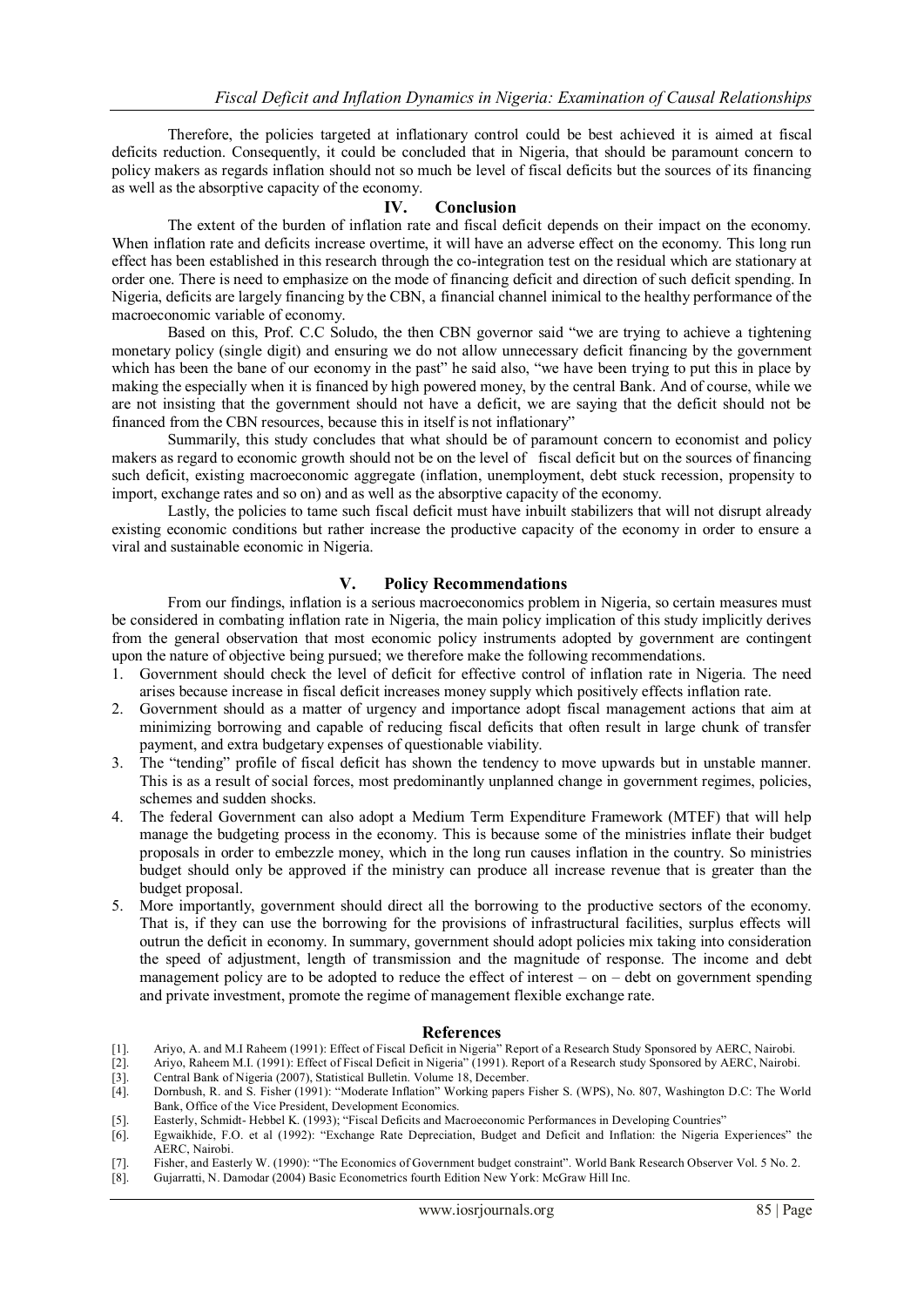Therefore, the policies targeted at inflationary control could be best achieved it is aimed at fiscal deficits reduction. Consequently, it could be concluded that in Nigeria, that should be paramount concern to policy makers as regards inflation should not so much be level of fiscal deficits but the sources of its financing as well as the absorptive capacity of the economy.

#### **IV. Conclusion**

The extent of the burden of inflation rate and fiscal deficit depends on their impact on the economy. When inflation rate and deficits increase overtime, it will have an adverse effect on the economy. This long run effect has been established in this research through the co-integration test on the residual which are stationary at order one. There is need to emphasize on the mode of financing deficit and direction of such deficit spending. In Nigeria, deficits are largely financing by the CBN, a financial channel inimical to the healthy performance of the macroeconomic variable of economy.

Based on this, Prof. C.C Soludo, the then CBN governor said "we are trying to achieve a tightening monetary policy (single digit) and ensuring we do not allow unnecessary deficit financing by the government which has been the bane of our economy in the past" he said also, "we have been trying to put this in place by making the especially when it is financed by high powered money, by the central Bank. And of course, while we are not insisting that the government should not have a deficit, we are saying that the deficit should not be financed from the CBN resources, because this in itself is not inflationary"

Summarily, this study concludes that what should be of paramount concern to economist and policy makers as regard to economic growth should not be on the level of fiscal deficit but on the sources of financing such deficit, existing macroeconomic aggregate (inflation, unemployment, debt stuck recession, propensity to import, exchange rates and so on) and as well as the absorptive capacity of the economy.

Lastly, the policies to tame such fiscal deficit must have inbuilt stabilizers that will not disrupt already existing economic conditions but rather increase the productive capacity of the economy in order to ensure a viral and sustainable economic in Nigeria.

## **V. Policy Recommendations**

From our findings, inflation is a serious macroeconomics problem in Nigeria, so certain measures must be considered in combating inflation rate in Nigeria, the main policy implication of this study implicitly derives from the general observation that most economic policy instruments adopted by government are contingent upon the nature of objective being pursued; we therefore make the following recommendations.

- 1. Government should check the level of deficit for effective control of inflation rate in Nigeria. The need arises because increase in fiscal deficit increases money supply which positively effects inflation rate.
- 2. Government should as a matter of urgency and importance adopt fiscal management actions that aim at minimizing borrowing and capable of reducing fiscal deficits that often result in large chunk of transfer payment, and extra budgetary expenses of questionable viability.
- 3. The "tending" profile of fiscal deficit has shown the tendency to move upwards but in unstable manner. This is as a result of social forces, most predominantly unplanned change in government regimes, policies, schemes and sudden shocks.
- 4. The federal Government can also adopt a Medium Term Expenditure Framework (MTEF) that will help manage the budgeting process in the economy. This is because some of the ministries inflate their budget proposals in order to embezzle money, which in the long run causes inflation in the country. So ministries budget should only be approved if the ministry can produce all increase revenue that is greater than the budget proposal.
- 5. More importantly, government should direct all the borrowing to the productive sectors of the economy. That is, if they can use the borrowing for the provisions of infrastructural facilities, surplus effects will outrun the deficit in economy. In summary, government should adopt policies mix taking into consideration the speed of adjustment, length of transmission and the magnitude of response. The income and debt management policy are to be adopted to reduce the effect of interest – on – debt on government spending and private investment, promote the regime of management flexible exchange rate.

#### **References**

- [1]. Ariyo, A. and M.I Raheem (1991): Effect of Fiscal Deficit in Nigeria" Report of a Research Study Sponsored by AERC, Nairobi.<br>[2]. Ariyo, Raheem M.I. (1991): Effect of Fiscal Deficit in Nigeria" (1991). Report of a Res
- [2]. Ariyo, Raheem M.I. (1991): Effect of Fiscal Deficit in Nigeria" (1991). Report of a Research study Sponsored by AERC, Nairobi.<br>[3]. Central Bank of Nigeria (2007). Statistical Bulletin. Volume 18. December.
- [3]. Central Bank of Nigeria (2007), Statistical Bulletin. Volume 18, December.
- [4]. Dornbush, R. and S. Fisher (1991): "Moderate Inflation" Working papers Fisher S. (WPS), No. 807, Washington D.C: The World Bank, Office of the Vice President, Development Economics.
- [5]. Easterly, Schmidt- Hebbel K. (1993); "Fiscal Deficits and Macroeconomic Performances in Developing Countries"
- [6]. Egwaikhide, F.O. et al (1992): "Exchange Rate Depreciation, Budget and Deficit and Inflation: the Nigeria Experiences" the AERC, Nairobi.
- [7]. Fisher, and Easterly W. (1990): "The Economics of Government budget constraint". World Bank Research Observer Vol. 5 No. 2.
- [8]. Gujarratti, N. Damodar (2004) Basic Econometrics fourth Edition New York: McGraw Hill Inc.